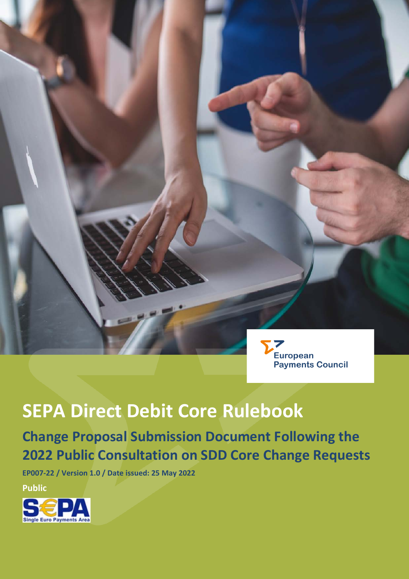

# **SEPA Direct Debit Core Rulebook**

# **Change Proposal Submission Document Following the 2022 Public Consultation on SDD Core Change Requests**

**EP007-22 / Version 1.0 / Date issued: 25 May 2022**

**Public**

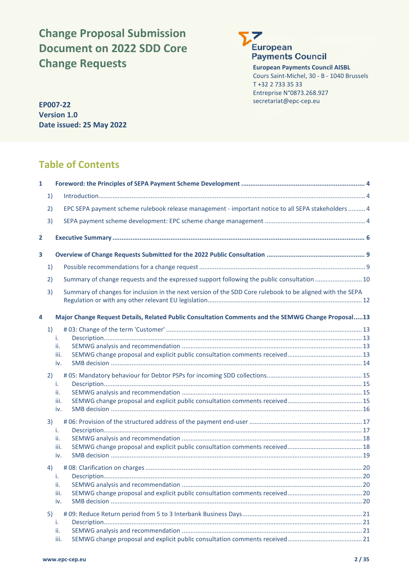# **Change Proposal Submission Document on 2022 SDD Core Change Requests**



**European Payments Council AISBL** Cours Saint-Michel, 30 - B - 1040 Brussels T +32 2 733 35 33 Entreprise N°0873.268.927 secretariat@epc-cep.eu **EP007-22**

**Version 1.0 Date issued: 25 May 2022**

# **Table of Contents**

| $\mathbf{1}$   |    |                                                                                                           |  |
|----------------|----|-----------------------------------------------------------------------------------------------------------|--|
|                | 1) |                                                                                                           |  |
|                | 2) | EPC SEPA payment scheme rulebook release management - important notice to all SEPA stakeholders  4        |  |
|                | 3) |                                                                                                           |  |
| $\overline{2}$ |    |                                                                                                           |  |
| 3              |    |                                                                                                           |  |
|                | 1) |                                                                                                           |  |
|                | 2) | Summary of change requests and the expressed support following the public consultation  10                |  |
|                | 3) | Summary of changes for inclusion in the next version of the SDD Core rulebook to be aligned with the SEPA |  |
| 4              |    | Major Change Request Details, Related Public Consultation Comments and the SEMWG Change Proposal13        |  |
|                | 1) | i.                                                                                                        |  |
|                |    | ii.                                                                                                       |  |
|                |    | iii.                                                                                                      |  |
|                |    | iv.                                                                                                       |  |
|                | 2) |                                                                                                           |  |
|                |    | i.                                                                                                        |  |
|                |    | ii.                                                                                                       |  |
|                |    | iii.<br>iv.                                                                                               |  |
|                | 3) |                                                                                                           |  |
|                |    | i.                                                                                                        |  |
|                |    | ii.                                                                                                       |  |
|                |    | iii.                                                                                                      |  |
|                |    | iv.                                                                                                       |  |
|                | 4) |                                                                                                           |  |
|                |    | i.                                                                                                        |  |
|                |    | ii.                                                                                                       |  |
|                |    | iii.<br>iv.                                                                                               |  |
|                | 5) |                                                                                                           |  |
|                |    | i.                                                                                                        |  |
|                |    | ii.                                                                                                       |  |
|                |    | iii.                                                                                                      |  |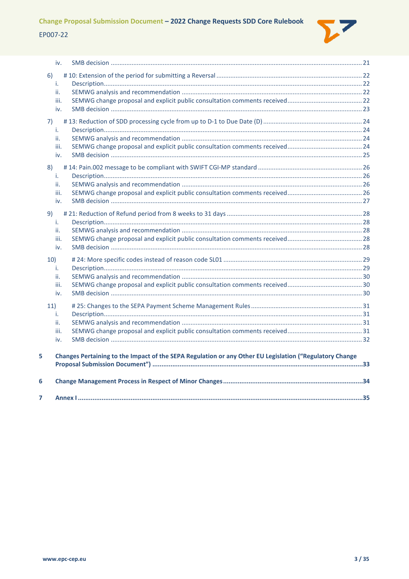

|     | iv.       |                                                                                                         |  |
|-----|-----------|---------------------------------------------------------------------------------------------------------|--|
| 6)  |           |                                                                                                         |  |
|     | i.        |                                                                                                         |  |
|     | ii.       |                                                                                                         |  |
|     | iii.      |                                                                                                         |  |
|     | iv.       |                                                                                                         |  |
| 7)  |           |                                                                                                         |  |
|     | i.        |                                                                                                         |  |
|     | ii.       |                                                                                                         |  |
|     | iii.      |                                                                                                         |  |
|     | iv.       |                                                                                                         |  |
| 8)  |           |                                                                                                         |  |
|     | i.        |                                                                                                         |  |
|     | ii.       |                                                                                                         |  |
|     | iii.      |                                                                                                         |  |
|     | iv.       |                                                                                                         |  |
| 9)  |           |                                                                                                         |  |
|     | i.        |                                                                                                         |  |
|     | ii.       |                                                                                                         |  |
|     | iii.      |                                                                                                         |  |
|     | iv.       |                                                                                                         |  |
|     |           |                                                                                                         |  |
| 10) |           |                                                                                                         |  |
|     | i.<br>ii. |                                                                                                         |  |
|     | iii.      |                                                                                                         |  |
|     | iv.       |                                                                                                         |  |
|     |           |                                                                                                         |  |
| 11) |           |                                                                                                         |  |
|     | i.        |                                                                                                         |  |
|     | ii.       |                                                                                                         |  |
|     | iii.      |                                                                                                         |  |
|     | iv.       |                                                                                                         |  |
| 5   |           | Changes Pertaining to the Impact of the SEPA Regulation or any Other EU Legislation ("Regulatory Change |  |
|     |           |                                                                                                         |  |
| 6   |           |                                                                                                         |  |
| 7   |           |                                                                                                         |  |
|     |           |                                                                                                         |  |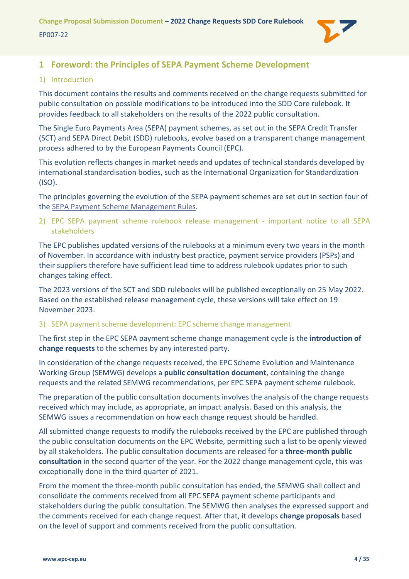

# <span id="page-3-0"></span>**1 Foreword: the Principles of SEPA Payment Scheme Development**

#### <span id="page-3-1"></span>1) Introduction

This document contains the results and comments received on the change requests submitted for public consultation on possible modifications to be introduced into the SDD Core rulebook. It provides feedback to all stakeholders on the results of the 2022 public consultation.

The Single Euro Payments Area (SEPA) payment schemes, as set out in the SEPA Credit Transfer (SCT) and SEPA Direct Debit (SDD) rulebooks, evolve based on a transparent change management process adhered to by the European Payments Council (EPC).

This evolution reflects changes in market needs and updates of technical standards developed by international standardisation bodies, such as the International Organization for Standardization (ISO).

The principles governing the evolution of the SEPA payment schemes are set out in section four of th[e SEPA Payment Scheme Management Rules.](https://www.europeanpaymentscouncil.eu/document-library/rulebooks/sepa-payment-scheme-management-rules)

<span id="page-3-2"></span>2) EPC SEPA payment scheme rulebook release management - important notice to all SEPA stakeholders

The EPC publishes updated versions of the rulebooks at a minimum every two years in the month of November. In accordance with industry best practice, payment service providers (PSPs) and their suppliers therefore have sufficient lead time to address rulebook updates prior to such changes taking effect.

The 2023 versions of the SCT and SDD rulebooks will be published exceptionally on 25 May 2022. Based on the established release management cycle, these versions will take effect on 19 November 2023.

#### <span id="page-3-3"></span>3) SEPA payment scheme development: EPC scheme change management

The first step in the EPC SEPA payment scheme change management cycle is the **introduction of change requests** to the schemes by any interested party.

In consideration of the change requests received, the EPC Scheme Evolution and Maintenance Working Group (SEMWG) develops a **public consultation document**, containing the change requests and the related SEMWG recommendations, per EPC SEPA payment scheme rulebook.

The preparation of the public consultation documents involves the analysis of the change requests received which may include, as appropriate, an impact analysis. Based on this analysis, the SEMWG issues a recommendation on how each change request should be handled.

All submitted change requests to modify the rulebooks received by the EPC are published through the public consultation documents on the EPC Website, permitting such a list to be openly viewed by all stakeholders. The public consultation documents are released for a **three-month public consultation** in the second quarter of the year. For the 2022 change management cycle, this was exceptionally done in the third quarter of 2021.

From the moment the three-month public consultation has ended, the SEMWG shall collect and consolidate the comments received from all EPC SEPA payment scheme participants and stakeholders during the public consultation. The SEMWG then analyses the expressed support and the comments received for each change request. After that, it develops **change proposals** based on the level of support and comments received from the public consultation.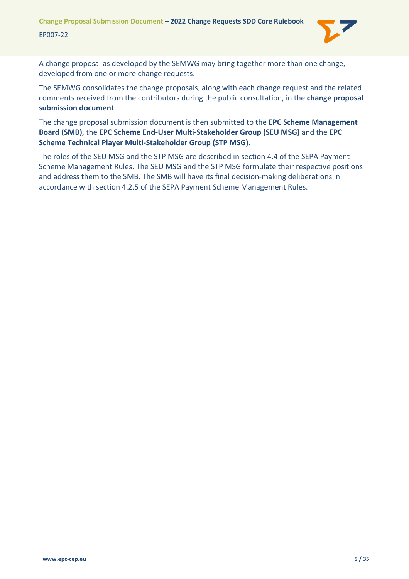

A change proposal as developed by the SEMWG may bring together more than one change, developed from one or more change requests.

The SEMWG consolidates the change proposals, along with each change request and the related comments received from the contributors during the public consultation, in the **change proposal submission document**.

The change proposal submission document is then submitted to the **EPC Scheme Management Board (SMB)**, the **EPC Scheme End-User Multi-Stakeholder Group (SEU MSG)** and the **EPC Scheme Technical Player Multi-Stakeholder Group (STP MSG)**.

The roles of the SEU MSG and the STP MSG are described in section 4.4 of the SEPA Payment Scheme Management Rules. The SEU MSG and the STP MSG formulate their respective positions and address them to the SMB. The SMB will have its final decision-making deliberations in accordance with section 4.2.5 of the SEPA Payment Scheme Management Rules.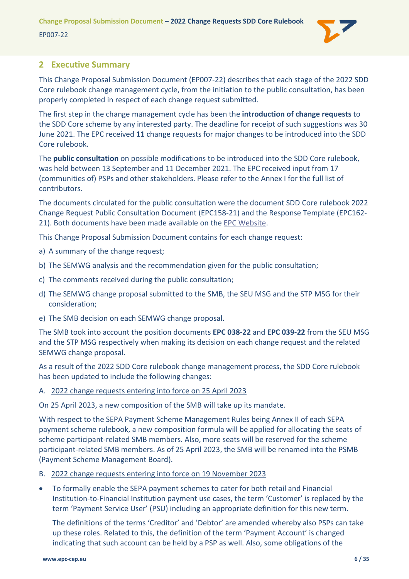

# <span id="page-5-0"></span>**2 Executive Summary**

This Change Proposal Submission Document (EP007-22) describes that each stage of the 2022 SDD Core rulebook change management cycle, from the initiation to the public consultation, has been properly completed in respect of each change request submitted.

The first step in the change management cycle has been the **introduction of change requests** to the SDD Core scheme by any interested party. The deadline for receipt of such suggestions was 30 June 2021. The EPC received **11** change requests for major changes to be introduced into the SDD Core rulebook.

The **public consultation** on possible modifications to be introduced into the SDD Core rulebook, was held between 13 September and 11 December 2021. The EPC received input from 17 (communities of) PSPs and other stakeholders. Please refer to the [Annex I](#page-34-0) for the full list of contributors.

The documents circulated for the public consultation were the document SDD Core rulebook 2022 Change Request Public Consultation Document (EPC158-21) and the Response Template (EPC162- 21). Both documents have been made available on the [EPC Website.](https://www.europeanpaymentscouncil.eu/document-library/rulebooks/sepa-direct-debit-core-rulebook-public-consultation-document-2022-change)

This Change Proposal Submission Document contains for each change request:

- a) A summary of the change request;
- b) The SEMWG analysis and the recommendation given for the public consultation;
- c) The comments received during the public consultation;
- d) The SEMWG change proposal submitted to the SMB, the SEU MSG and the STP MSG for their consideration;
- e) The SMB decision on each SEMWG change proposal.

The SMB took into account the position documents **EPC 038-22** and **EPC 039-22** from the SEU MSG and the STP MSG respectively when making its decision on each change request and the related SEMWG change proposal.

As a result of the 2022 SDD Core rulebook change management process, the SDD Core rulebook has been updated to include the following changes:

#### A. 2022 change requests entering into force on 25 April 2023

On 25 April 2023, a new composition of the SMB will take up its mandate.

With respect to the SEPA Payment Scheme Management Rules being Annex II of each SEPA payment scheme rulebook, a new composition formula will be applied for allocating the seats of scheme participant-related SMB members. Also, more seats will be reserved for the scheme participant-related SMB members. As of 25 April 2023, the SMB will be renamed into the PSMB (Payment Scheme Management Board).

- B. 2022 change requests entering into force on 19 November 2023
- To formally enable the SEPA payment schemes to cater for both retail and Financial Institution-to-Financial Institution payment use cases, the term 'Customer' is replaced by the term 'Payment Service User' (PSU) including an appropriate definition for this new term.

The definitions of the terms 'Creditor' and 'Debtor' are amended whereby also PSPs can take up these roles. Related to this, the definition of the term 'Payment Account' is changed indicating that such account can be held by a PSP as well. Also, some obligations of the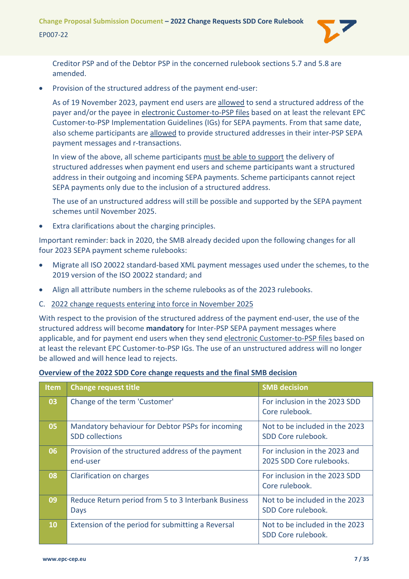**Change Proposal Submission Document – 2022 Change Requests SDD Core Rulebook** EP007-22



Creditor PSP and of the Debtor PSP in the concerned rulebook sections 5.7 and 5.8 are amended.

• Provision of the structured address of the payment end-user:

As of 19 November 2023, payment end users are allowed to send a structured address of the payer and/or the payee in electronic Customer-to-PSP files based on at least the relevant EPC Customer-to-PSP Implementation Guidelines (IGs) for SEPA payments. From that same date, also scheme participants are allowed to provide structured addresses in their inter-PSP SEPA payment messages and r-transactions.

In view of the above, all scheme participants must be able to support the delivery of structured addresses when payment end users and scheme participants want a structured address in their outgoing and incoming SEPA payments. Scheme participants cannot reject SEPA payments only due to the inclusion of a structured address.

The use of an unstructured address will still be possible and supported by the SEPA payment schemes until November 2025.

Extra clarifications about the charging principles.

Important reminder: back in 2020, the SMB already decided upon the following changes for all four 2023 SEPA payment scheme rulebooks:

- Migrate all ISO 20022 standard-based XML payment messages used under the schemes, to the 2019 version of the ISO 20022 standard; and
- Align all attribute numbers in the scheme rulebooks as of the 2023 rulebooks.
- C. 2022 change requests entering into force in November 2025

With respect to the provision of the structured address of the payment end-user, the use of the structured address will become **mandatory** for Inter-PSP SEPA payment messages where applicable, and for payment end users when they send electronic Customer-to-PSP files based on at least the relevant EPC Customer-to-PSP IGs. The use of an unstructured address will no longer be allowed and will hence lead to rejects.

#### **Overview of the 2022 SDD Core change requests and the final SMB decision**

| <b>Item</b> | <b>Change request title</b>                                                | <b>SMB</b> decision                                       |
|-------------|----------------------------------------------------------------------------|-----------------------------------------------------------|
| 03          | Change of the term 'Customer'                                              | For inclusion in the 2023 SDD<br>Core rulebook.           |
| 05          | Mandatory behaviour for Debtor PSPs for incoming<br><b>SDD</b> collections | Not to be included in the 2023<br>SDD Core rulebook.      |
| 06          | Provision of the structured address of the payment<br>end-user             | For inclusion in the 2023 and<br>2025 SDD Core rulebooks. |
| 08          | Clarification on charges                                                   | For inclusion in the 2023 SDD<br>Core rulebook.           |
| 09          | Reduce Return period from 5 to 3 Interbank Business<br>Days                | Not to be included in the 2023<br>SDD Core rulebook.      |
| <b>10</b>   | Extension of the period for submitting a Reversal                          | Not to be included in the 2023<br>SDD Core rulebook.      |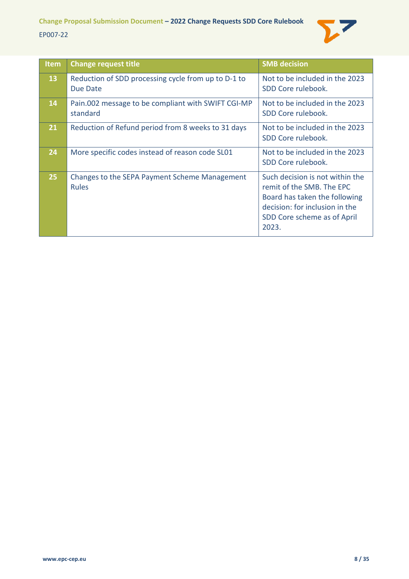

| Item      | <b>Change request title</b>                                     | <b>SMB decision</b>                                                                                                                                                     |
|-----------|-----------------------------------------------------------------|-------------------------------------------------------------------------------------------------------------------------------------------------------------------------|
| <b>13</b> | Reduction of SDD processing cycle from up to D-1 to<br>Due Date | Not to be included in the 2023<br>SDD Core rulebook.                                                                                                                    |
| <b>14</b> | Pain.002 message to be compliant with SWIFT CGI-MP<br>standard  | Not to be included in the 2023<br>SDD Core rulebook.                                                                                                                    |
| 21        | Reduction of Refund period from 8 weeks to 31 days              | Not to be included in the 2023<br>SDD Core rulebook.                                                                                                                    |
| 24        | More specific codes instead of reason code SL01                 | Not to be included in the 2023<br>SDD Core rulebook.                                                                                                                    |
| 25        | Changes to the SEPA Payment Scheme Management<br><b>Rules</b>   | Such decision is not within the<br>remit of the SMB. The EPC<br>Board has taken the following<br>decision: for inclusion in the<br>SDD Core scheme as of April<br>2023. |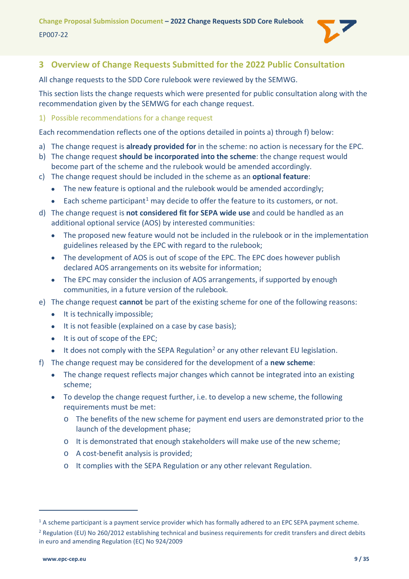

# <span id="page-8-0"></span>**3 Overview of Change Requests Submitted for the 2022 Public Consultation**

All change requests to the SDD Core rulebook were reviewed by the SEMWG.

This section lists the change requests which were presented for public consultation along with the recommendation given by the SEMWG for each change request.

#### <span id="page-8-1"></span>1) Possible recommendations for a change request

Each recommendation reflects one of the options detailed in points a) through f) below:

- a) The change request is **already provided for** in the scheme: no action is necessary for the EPC.
- b) The change request **should be incorporated into the scheme**: the change request would become part of the scheme and the rulebook would be amended accordingly.
- c) The change request should be included in the scheme as an **optional feature**:
	- The new feature is optional and the rulebook would be amended accordingly;
	- Each scheme participant<sup>[1](#page-8-2)</sup> may decide to offer the feature to its customers, or not.
- d) The change request is **not considered fit for SEPA wide use** and could be handled as an additional optional service (AOS) by interested communities:
	- The proposed new feature would not be included in the rulebook or in the implementation guidelines released by the EPC with regard to the rulebook;
	- The development of AOS is out of scope of the EPC. The EPC does however publish declared AOS arrangements on its website for information;
	- The EPC may consider the inclusion of AOS arrangements, if supported by enough communities, in a future version of the rulebook.
- e) The change request **cannot** be part of the existing scheme for one of the following reasons:
	- It is technically impossible;
	- It is not feasible (explained on a case by case basis);
	- It is out of scope of the EPC;
	- $\bullet$  It does not comply with the SEPA Regulation<sup>[2](#page-8-3)</sup> or any other relevant EU legislation.
- f) The change request may be considered for the development of a **new scheme**:
	- The change request reflects major changes which cannot be integrated into an existing scheme;
	- To develop the change request further, i.e. to develop a new scheme, the following requirements must be met:
		- o The benefits of the new scheme for payment end users are demonstrated prior to the launch of the development phase;
		- o It is demonstrated that enough stakeholders will make use of the new scheme;
		- o A cost-benefit analysis is provided;
		- o It complies with the SEPA Regulation or any other relevant Regulation.

<span id="page-8-2"></span><sup>&</sup>lt;sup>1</sup> A scheme participant is a payment service provider which has formally adhered to an EPC SEPA payment scheme.

<span id="page-8-3"></span> $2$  Regulation (EU) No 260/2012 establishing technical and business requirements for credit transfers and direct debits in euro and amending Regulation (EC) No 924/2009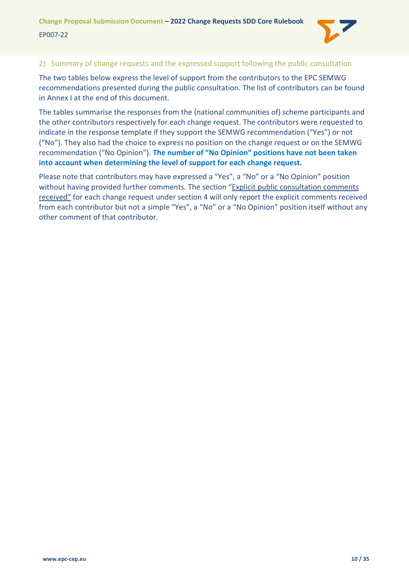

#### <span id="page-9-0"></span>2) Summary of change requests and the expressed support following the public consultation

The two tables below express the level of support from the contributors to the EPC SEMWG recommendations presented during the public consultation. The list of contributors can be found in [Annex I](#page-34-0) at the end of this document.

The tables summarise the responses from the (national communities of) scheme participants and the other contributors respectively for each change request. The contributors were requested to indicate in the response template if they support the SEMWG recommendation ("Yes") or not ("No"). They also had the choice to express no position on the change request or on the SEMWG recommendation ("No Opinion"). **The number of "No Opinion" positions have not been taken into account when determining the level of support for each change request.**

Please note that contributors may have expressed a "Yes", a "No" or a "No Opinion" position without having provided further comments. The section "Explicit public consultation comments received" for each change request under section [4](#page-12-0) will only report the explicit comments received from each contributor but not a simple "Yes", a "No" or a "No Opinion" position itself without any other comment of that contributor.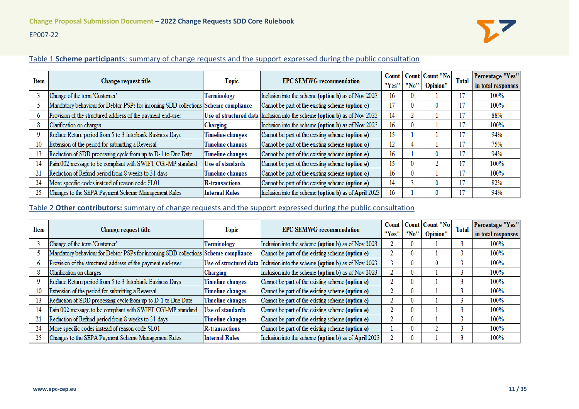#### EP007-22



#### Table 1 **Scheme participant**s: summary of change requests and the support expressed during the public consultation

| Item |                                                                                    |                         | <b>EPC SEMWG recommendation</b>                                            | Count |              | Count Count "No | <b>Total</b> | Percentage "Yes"   |
|------|------------------------------------------------------------------------------------|-------------------------|----------------------------------------------------------------------------|-------|--------------|-----------------|--------------|--------------------|
|      | Change request title                                                               |                         | <b>Topic</b><br>"Yes"                                                      |       | "No"         | Opinion"        |              | in total responses |
|      | Change of the term 'Customer'                                                      | Terminology             | Inclusion into the scheme (option b) as of Nov 2023                        | 16    |              |                 |              | 100%               |
|      | Mandatory behaviour for Debtor PSPs for incoming SDD collections Scheme compliance |                         | Cannot be part of the existing scheme (option e)                           |       | 0            |                 |              | 100%               |
|      | Provision of the structured address of the payment end-user                        |                         | Use of structured data Inclusion into the scheme (option b) as of Nov 2023 | 14    |              |                 |              | 88%                |
|      | Clarification on charges                                                           | Charging                | Inclusion into the scheme (option b) as of Nov 2023                        | 16    | 0            |                 |              | 100%               |
|      | Reduce Return period from 5 to 3 Interbank Business Days                           | <b>Timeline changes</b> | Cannot be part of the existing scheme (option e)                           | 15    |              |                 |              | 94%                |
| 10   | Extension of the period for submitting a Reversal                                  | <b>Timeline changes</b> | Cannot be part of the existing scheme (option e)                           | 12    |              |                 |              | 75%                |
| 13   | Reduction of SDD processing cycle from up to D-1 to Due Date                       | <b>Timeline changes</b> | Cannot be part of the existing scheme (option e)                           | 16    |              |                 |              | 94%                |
| 14   | Pain.002 message to be compliant with SWIFT CGI-MP standard                        | <b>Use of standards</b> | Cannot be part of the existing scheme (option e)                           | 15    | $\bf{0}$     |                 |              | 100%               |
| 21   | Reduction of Refund period from 8 weeks to 31 days                                 | <b>Timeline changes</b> | Cannot be part of the existing scheme (option e)                           | 16    | $\mathbf{0}$ |                 |              | 100%               |
| 24   | More specific codes instead of reason code SL01                                    | <b>R-transactions</b>   | Cannot be part of the existing scheme (option e)                           | 14    |              |                 |              | 82%                |
| 25   | Changes to the SEPA Payment Scheme Management Rules                                | <b>Internal Rules</b>   | Inclusion into the scheme (option b) as of April 2023                      | 16    |              |                 |              | 94%                |

Table 2 **Other contributors:** summary of change requests and the support expressed during the public consultation

| Item |                                                                                    | <b>Topic</b>            | <b>EPC SEMWG recommendation</b>                                            |       |   | Count   Count   Count "No | <b>Total</b> | <b>Percentage "Yes"</b> |
|------|------------------------------------------------------------------------------------|-------------------------|----------------------------------------------------------------------------|-------|---|---------------------------|--------------|-------------------------|
|      | Change request title                                                               |                         |                                                                            | "Yes" |   | "No" Opinion"             |              | in total responses      |
|      | Change of the term 'Customer'                                                      | Terminology             | Inclusion into the scheme (option b) as of Nov 2023                        |       |   |                           |              | 100%                    |
|      | Mandatory behaviour for Debtor PSPs for incoming SDD collections Scheme compliance |                         | Cannot be part of the existing scheme (option e)                           |       | 0 |                           |              | 100%                    |
|      | Provision of the structured address of the payment end-user                        |                         | Use of structured data Inclusion into the scheme (option b) as of Nov 2023 |       | 0 |                           |              | 100%                    |
|      | Clarification on charges                                                           | Charging                | Inclusion into the scheme (option b) as of Nov 2023                        |       | 0 |                           |              | 100%                    |
|      | Reduce Return period from 5 to 3 Interbank Business Days                           | <b>Timeline changes</b> | Cannot be part of the existing scheme (option e)                           |       | 0 |                           |              | 100%                    |
| 10   | Extension of the period for submitting a Reversal                                  | <b>Timeline changes</b> | Cannot be part of the existing scheme (option e)                           |       | 0 |                           |              | 100%                    |
| 13   | Reduction of SDD processing cycle from up to D-1 to Due Date                       | <b>Timeline changes</b> | Cannot be part of the existing scheme (option e)                           |       | 0 |                           |              | 100%                    |
| 14   | Pain.002 message to be compliant with SWIFT CGI-MP standard                        | Use of standards        | Cannot be part of the existing scheme (option e)                           |       | 0 |                           |              | 100%                    |
| 21   | Reduction of Refund period from 8 weeks to 31 days                                 | <b>Timeline changes</b> | Cannot be part of the existing scheme (option e)                           |       | 0 |                           |              | 100%                    |
| 24   | More specific codes instead of reason code SL01                                    | <b>R-transactions</b>   | Cannot be part of the existing scheme (option e)                           |       | 0 |                           |              | 100%                    |
| 25   | Changes to the SEPA Payment Scheme Management Rules                                | <b>Internal Rules</b>   | Inclusion into the scheme (option b) as of April 2023                      |       |   |                           |              | 100%                    |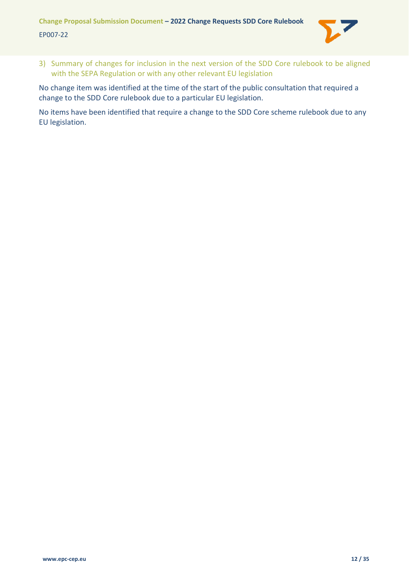

<span id="page-11-0"></span>3) Summary of changes for inclusion in the next version of the SDD Core rulebook to be aligned with the SEPA Regulation or with any other relevant EU legislation

No change item was identified at the time of the start of the public consultation that required a change to the SDD Core rulebook due to a particular EU legislation.

No items have been identified that require a change to the SDD Core scheme rulebook due to any EU legislation.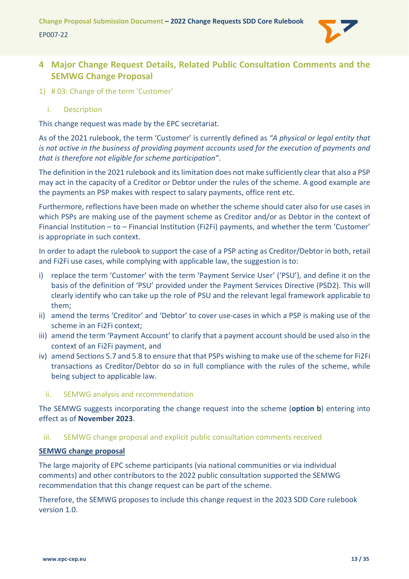

# <span id="page-12-0"></span>**4 Major Change Request Details, Related Public Consultation Comments and the SEMWG Change Proposal**

- <span id="page-12-2"></span><span id="page-12-1"></span>1) # 03: Change of the term 'Customer'
	- i. Description

This change request was made by the EPC secretariat.

As of the 2021 rulebook, the term 'Customer' is currently defined as *"A physical or legal entity that is not active in the business of providing payment accounts used for the execution of payments and that is therefore not eligible for scheme participation"*.

The definition in the 2021 rulebook and its limitation does not make sufficiently clear that also a PSP may act in the capacity of a Creditor or Debtor under the rules of the scheme. A good example are the payments an PSP makes with respect to salary payments, office rent etc.

Furthermore, reflections have been made on whether the scheme should cater also for use cases in which PSPs are making use of the payment scheme as Creditor and/or as Debtor in the context of Financial Institution – to – Financial Institution (Fi2Fi) payments, and whether the term 'Customer' is appropriate in such context.

In order to adapt the rulebook to support the case of a PSP acting as Creditor/Debtor in both, retail and Fi2Fi use cases, while complying with applicable law, the suggestion is to:

- i) replace the term 'Customer' with the term 'Payment Service User' ('PSU'), and define it on the basis of the definition of 'PSU' provided under the Payment Services Directive (PSD2). This will clearly identify who can take up the role of PSU and the relevant legal framework applicable to them;
- ii) amend the terms 'Creditor' and 'Debtor' to cover use-cases in which a PSP is making use of the scheme in an Fi2Fi context;
- iii) amend the term 'Payment Account' to clarify that a payment account should be used also in the context of an Fi2Fi payment, and
- iv) amend Sections 5.7 and 5.8 to ensure that that PSPs wishing to make use of the scheme for Fi2Fi transactions as Creditor/Debtor do so in full compliance with the rules of the scheme, while being subject to applicable law.
	- ii. SEMWG analysis and recommendation

<span id="page-12-3"></span>The SEMWG suggests incorporating the change request into the scheme (**option b**) entering into effect as of **November 2023**.

#### <span id="page-12-4"></span>iii. SEMWG change proposal and explicit public consultation comments received

### **SEMWG change proposal**

The large majority of EPC scheme participants (via national communities or via individual comments) and other contributors to the 2022 public consultation supported the SEMWG recommendation that this change request can be part of the scheme.

Therefore, the SEMWG proposes to include this change request in the 2023 SDD Core rulebook version 1.0.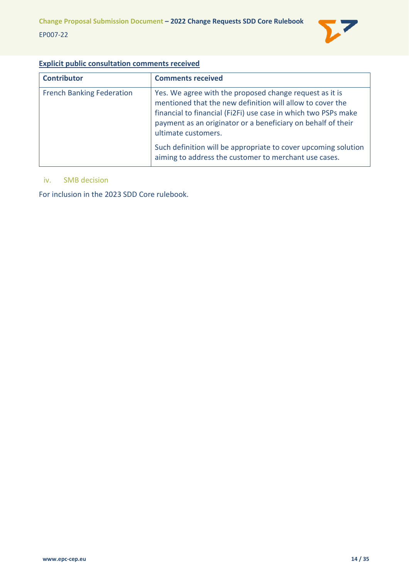

# **Explicit public consultation comments received**

| <b>Contributor</b>               | <b>Comments received</b>                                                                                                                                                                                                                                                      |
|----------------------------------|-------------------------------------------------------------------------------------------------------------------------------------------------------------------------------------------------------------------------------------------------------------------------------|
| <b>French Banking Federation</b> | Yes. We agree with the proposed change request as it is<br>mentioned that the new definition will allow to cover the<br>financial to financial (Fi2Fi) use case in which two PSPs make<br>payment as an originator or a beneficiary on behalf of their<br>ultimate customers. |
|                                  | Such definition will be appropriate to cover upcoming solution<br>aiming to address the customer to merchant use cases.                                                                                                                                                       |

#### <span id="page-13-0"></span>iv. SMB decision

For inclusion in the 2023 SDD Core rulebook.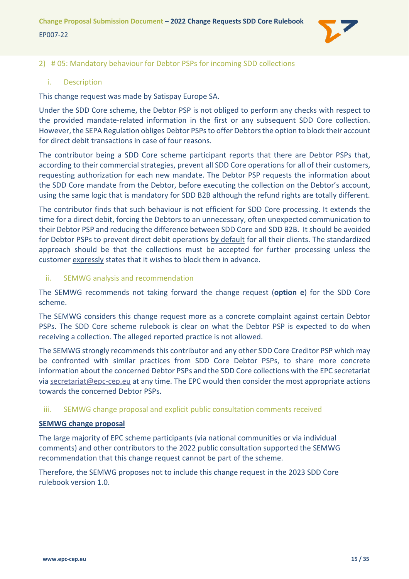

#### <span id="page-14-0"></span>2) # 05: Mandatory behaviour for Debtor PSPs for incoming SDD collections

#### <span id="page-14-1"></span>i. Description

This change request was made by Satispay Europe SA.

Under the SDD Core scheme, the Debtor PSP is not obliged to perform any checks with respect to the provided mandate-related information in the first or any subsequent SDD Core collection. However, the SEPA Regulation obliges Debtor PSPs to offer Debtors the option to block their account for direct debit transactions in case of four reasons.

The contributor being a SDD Core scheme participant reports that there are Debtor PSPs that, according to their commercial strategies, prevent all SDD Core operations for all of their customers, requesting authorization for each new mandate. The Debtor PSP requests the information about the SDD Core mandate from the Debtor, before executing the collection on the Debtor's account, using the same logic that is mandatory for SDD B2B although the refund rights are totally different.

The contributor finds that such behaviour is not efficient for SDD Core processing. It extends the time for a direct debit, forcing the Debtors to an unnecessary, often unexpected communication to their Debtor PSP and reducing the difference between SDD Core and SDD B2B. It should be avoided for Debtor PSPs to prevent direct debit operations by default for all their clients. The standardized approach should be that the collections must be accepted for further processing unless the customer expressly states that it wishes to block them in advance.

<span id="page-14-2"></span>ii. SEMWG analysis and recommendation

The SEMWG recommends not taking forward the change request (**option e**) for the SDD Core scheme.

The SEMWG considers this change request more as a concrete complaint against certain Debtor PSPs. The SDD Core scheme rulebook is clear on what the Debtor PSP is expected to do when receiving a collection. The alleged reported practice is not allowed.

The SEMWG strongly recommends this contributor and any other SDD Core Creditor PSP which may be confronted with similar practices from SDD Core Debtor PSPs, to share more concrete information about the concerned Debtor PSPs and the SDD Core collections with the EPC secretariat via [secretariat@epc-cep.eu](mailto:secretariat@epc-cep.eu) at any time. The EPC would then consider the most appropriate actions towards the concerned Debtor PSPs.

#### <span id="page-14-3"></span>iii. SEMWG change proposal and explicit public consultation comments received

#### **SEMWG change proposal**

The large majority of EPC scheme participants (via national communities or via individual comments) and other contributors to the 2022 public consultation supported the SEMWG recommendation that this change request cannot be part of the scheme.

Therefore, the SEMWG proposes not to include this change request in the 2023 SDD Core rulebook version 1.0.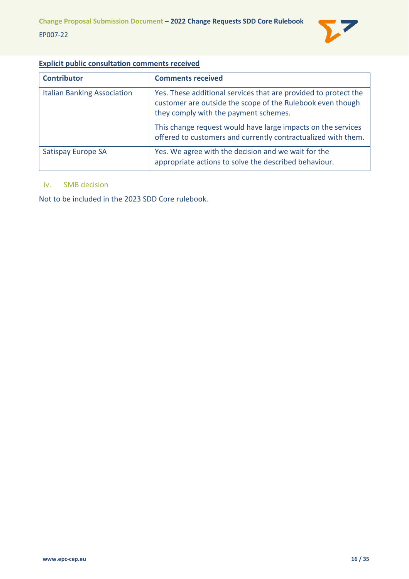

# **Explicit public consultation comments received**

| <b>Contributor</b>                 | <b>Comments received</b>                                                                                                                                               |
|------------------------------------|------------------------------------------------------------------------------------------------------------------------------------------------------------------------|
| <b>Italian Banking Association</b> | Yes. These additional services that are provided to protect the<br>customer are outside the scope of the Rulebook even though<br>they comply with the payment schemes. |
|                                    | This change request would have large impacts on the services<br>offered to customers and currently contractualized with them.                                          |
| Satispay Europe SA                 | Yes. We agree with the decision and we wait for the<br>appropriate actions to solve the described behaviour.                                                           |

#### <span id="page-15-0"></span>iv. SMB decision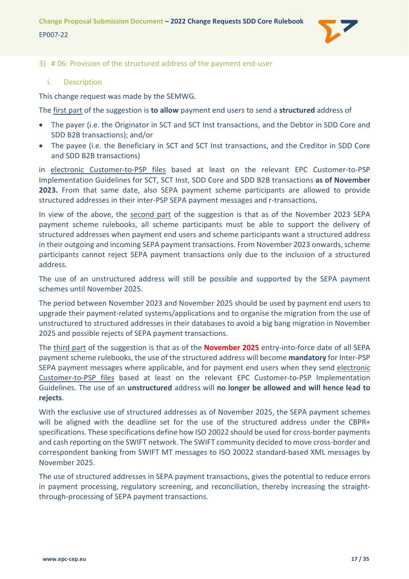

#### <span id="page-16-0"></span>3) # 06: Provision of the structured address of the payment end-user

#### <span id="page-16-1"></span>i. Description

This change request was made by the SEMWG.

The first part of the suggestion is **to allow** payment end users to send a **structured** address of

- The payer (i.e. the Originator in SCT and SCT Inst transactions, and the Debtor in SDD Core and SDD B2B transactions); and/or
- The payee (i.e. the Beneficiary in SCT and SCT Inst transactions, and the Creditor in SDD Core and SDD B2B transactions)

in electronic Customer-to-PSP files based at least on the relevant EPC Customer-to-PSP Implementation Guidelines for SCT, SCT Inst, SDD Core and SDD B2B transactions **as of November 2023.** From that same date, also SEPA payment scheme participants are allowed to provide structured addresses in their inter-PSP SEPA payment messages and r-transactions.

In view of the above, the second part of the suggestion is that as of the November 2023 SEPA payment scheme rulebooks, all scheme participants must be able to support the delivery of structured addresses when payment end users and scheme participants want a structured address in their outgoing and incoming SEPA payment transactions. From November 2023 onwards, scheme participants cannot reject SEPA payment transactions only due to the inclusion of a structured address.

The use of an unstructured address will still be possible and supported by the SEPA payment schemes until November 2025.

The period between November 2023 and November 2025 should be used by payment end users to upgrade their payment-related systems/applications and to organise the migration from the use of unstructured to structured addresses in their databases to avoid a big bang migration in November 2025 and possible rejects of SEPA payment transactions.

The third part of the suggestion is that as of the **November 2025** entry-into-force date of all SEPA payment scheme rulebooks, the use of the structured address will become **mandatory** for Inter-PSP SEPA payment messages where applicable, and for payment end users when they send electronic Customer-to-PSP files based at least on the relevant EPC Customer-to-PSP Implementation Guidelines. The use of an **unstructured** address will **no longer be allowed and will hence lead to rejects**.

With the exclusive use of structured addresses as of November 2025, the SEPA payment schemes will be aligned with the deadline set for the use of the structured address under the CBPR+ specifications. These specifications define how ISO 20022 should be used for cross-border payments and cash reporting on the SWIFT network. The SWIFT community decided to move cross-border and correspondent banking from SWIFT MT messages to ISO 20022 standard-based XML messages by November 2025.

The use of structured addresses in SEPA payment transactions, gives the potential to reduce errors in payment processing, regulatory screening, and reconciliation, thereby increasing the straightthrough-processing of SEPA payment transactions.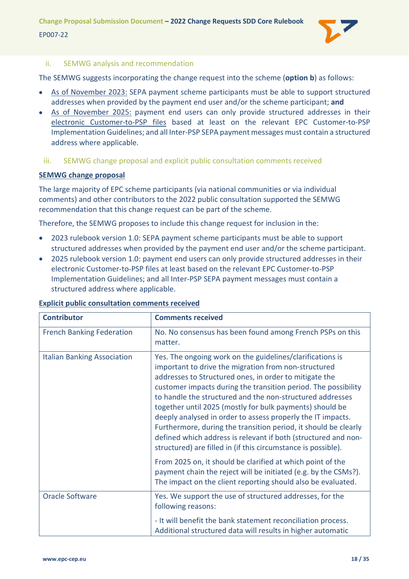**Change Proposal Submission Document – 2022 Change Requests SDD Core Rulebook** EP007-22



# <span id="page-17-0"></span>ii. SEMWG analysis and recommendation

The SEMWG suggests incorporating the change request into the scheme (**option b**) as follows:

- As of November 2023: SEPA payment scheme participants must be able to support structured addresses when provided by the payment end user and/or the scheme participant; **and**
- As of November 2025: payment end users can only provide structured addresses in their electronic Customer-to-PSP files based at least on the relevant EPC Customer-to-PSP Implementation Guidelines; and all Inter-PSP SEPA payment messages must contain a structured address where applicable.
	- iii. SEMWG change proposal and explicit public consultation comments received

# <span id="page-17-1"></span>**SEMWG change proposal**

The large majority of EPC scheme participants (via national communities or via individual comments) and other contributors to the 2022 public consultation supported the SEMWG recommendation that this change request can be part of the scheme.

Therefore, the SEMWG proposes to include this change request for inclusion in the:

- 2023 rulebook version 1.0: SEPA payment scheme participants must be able to support structured addresses when provided by the payment end user and/or the scheme participant.
- 2025 rulebook version 1.0: payment end users can only provide structured addresses in their electronic Customer-to-PSP files at least based on the relevant EPC Customer-to-PSP Implementation Guidelines; and all Inter-PSP SEPA payment messages must contain a structured address where applicable.

| <b>Contributor</b>                 | <b>Comments received</b>                                                                                                                                                                                                                                                                                                                                                                                                                                                                                                                                                                                                                    |
|------------------------------------|---------------------------------------------------------------------------------------------------------------------------------------------------------------------------------------------------------------------------------------------------------------------------------------------------------------------------------------------------------------------------------------------------------------------------------------------------------------------------------------------------------------------------------------------------------------------------------------------------------------------------------------------|
| <b>French Banking Federation</b>   | No. No consensus has been found among French PSPs on this<br>matter.                                                                                                                                                                                                                                                                                                                                                                                                                                                                                                                                                                        |
| <b>Italian Banking Association</b> | Yes. The ongoing work on the guidelines/clarifications is<br>important to drive the migration from non-structured<br>addresses to Structured ones, in order to mitigate the<br>customer impacts during the transition period. The possibility<br>to handle the structured and the non-structured addresses<br>together until 2025 (mostly for bulk payments) should be<br>deeply analysed in order to assess properly the IT impacts.<br>Furthermore, during the transition period, it should be clearly<br>defined which address is relevant if both (structured and non-<br>structured) are filled in (if this circumstance is possible). |
|                                    | From 2025 on, it should be clarified at which point of the<br>payment chain the reject will be initiated (e.g. by the CSMs?).<br>The impact on the client reporting should also be evaluated.                                                                                                                                                                                                                                                                                                                                                                                                                                               |
| <b>Oracle Software</b>             | Yes. We support the use of structured addresses, for the<br>following reasons:                                                                                                                                                                                                                                                                                                                                                                                                                                                                                                                                                              |
|                                    | - It will benefit the bank statement reconciliation process.<br>Additional structured data will results in higher automatic                                                                                                                                                                                                                                                                                                                                                                                                                                                                                                                 |

# **Explicit public consultation comments received**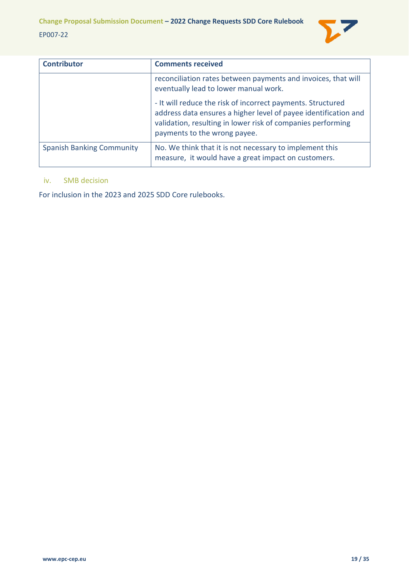

| <b>Contributor</b>               | <b>Comments received</b>                                                                                                                                                                                                      |
|----------------------------------|-------------------------------------------------------------------------------------------------------------------------------------------------------------------------------------------------------------------------------|
|                                  | reconciliation rates between payments and invoices, that will<br>eventually lead to lower manual work.                                                                                                                        |
|                                  | - It will reduce the risk of incorrect payments. Structured<br>address data ensures a higher level of payee identification and<br>validation, resulting in lower risk of companies performing<br>payments to the wrong payee. |
| <b>Spanish Banking Community</b> | No. We think that it is not necessary to implement this<br>measure, it would have a great impact on customers.                                                                                                                |

#### <span id="page-18-0"></span>iv. SMB decision

For inclusion in the 2023 and 2025 SDD Core rulebooks.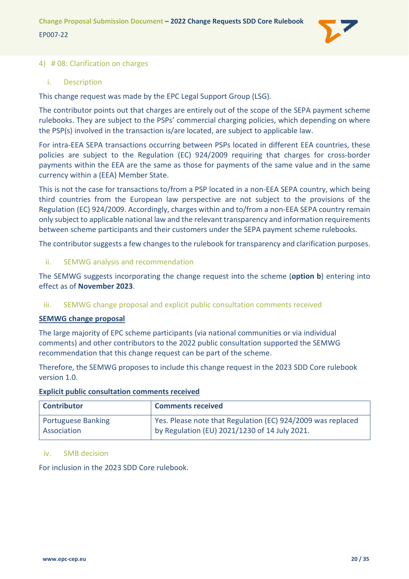

#### <span id="page-19-0"></span>4) # 08: Clarification on charges

#### <span id="page-19-1"></span>i. Description

This change request was made by the EPC Legal Support Group (LSG).

The contributor points out that charges are entirely out of the scope of the SEPA payment scheme rulebooks. They are subject to the PSPs' commercial charging policies, which depending on where the PSP(s) involved in the transaction is/are located, are subject to applicable law.

For intra-EEA SEPA transactions occurring between PSPs located in different EEA countries, these policies are subject to the Regulation (EC) 924/2009 requiring that charges for cross-border payments within the EEA are the same as those for payments of the same value and in the same currency within a (EEA) Member State.

This is not the case for transactions to/from a PSP located in a non-EEA SEPA country, which being third countries from the European law perspective are not subject to the provisions of the Regulation (EC) 924/2009. Accordingly, charges within and to/from a non-EEA SEPA country remain only subject to applicable national law and the relevant transparency and information requirements between scheme participants and their customers under the SEPA payment scheme rulebooks.

The contributor suggests a few changes to the rulebook for transparency and clarification purposes.

<span id="page-19-2"></span>ii. SEMWG analysis and recommendation

The SEMWG suggests incorporating the change request into the scheme (**option b**) entering into effect as of **November 2023**.

#### <span id="page-19-3"></span>iii. SEMWG change proposal and explicit public consultation comments received

#### **SEMWG change proposal**

The large majority of EPC scheme participants (via national communities or via individual comments) and other contributors to the 2022 public consultation supported the SEMWG recommendation that this change request can be part of the scheme.

Therefore, the SEMWG proposes to include this change request in the 2023 SDD Core rulebook version 1.0.

#### **Explicit public consultation comments received**

| <b>Contributor</b>        | <b>Comments received</b>                                    |
|---------------------------|-------------------------------------------------------------|
| <b>Portuguese Banking</b> | Yes. Please note that Regulation (EC) 924/2009 was replaced |
| Association               | by Regulation (EU) 2021/1230 of 14 July 2021.               |

#### <span id="page-19-4"></span>iv. SMB decision

For inclusion in the 2023 SDD Core rulebook.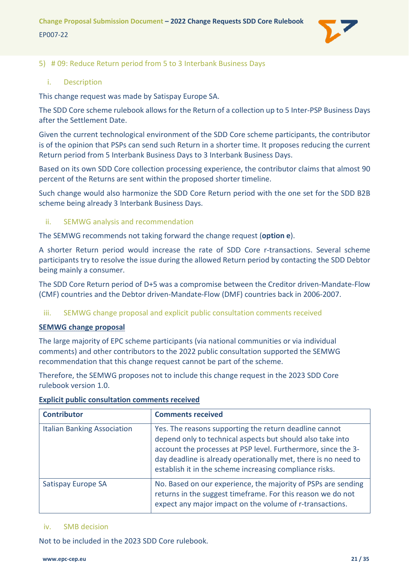#### <span id="page-20-0"></span>5) # 09: Reduce Return period from 5 to 3 Interbank Business Days

#### <span id="page-20-1"></span>i. Description

This change request was made by Satispay Europe SA.

The SDD Core scheme rulebook allows for the Return of a collection up to 5 Inter-PSP Business Days after the Settlement Date.

Given the current technological environment of the SDD Core scheme participants, the contributor is of the opinion that PSPs can send such Return in a shorter time. It proposes reducing the current Return period from 5 Interbank Business Days to 3 Interbank Business Days.

Based on its own SDD Core collection processing experience, the contributor claims that almost 90 percent of the Returns are sent within the proposed shorter timeline.

Such change would also harmonize the SDD Core Return period with the one set for the SDD B2B scheme being already 3 Interbank Business Days.

#### <span id="page-20-2"></span>ii. SEMWG analysis and recommendation

The SEMWG recommends not taking forward the change request (**option e**).

A shorter Return period would increase the rate of SDD Core r-transactions. Several scheme participants try to resolve the issue during the allowed Return period by contacting the SDD Debtor being mainly a consumer.

The SDD Core Return period of D+5 was a compromise between the Creditor driven-Mandate-Flow (CMF) countries and the Debtor driven-Mandate-Flow (DMF) countries back in 2006-2007.

#### <span id="page-20-3"></span>iii. SEMWG change proposal and explicit public consultation comments received

#### **SEMWG change proposal**

The large majority of EPC scheme participants (via national communities or via individual comments) and other contributors to the 2022 public consultation supported the SEMWG recommendation that this change request cannot be part of the scheme.

Therefore, the SEMWG proposes not to include this change request in the 2023 SDD Core rulebook version 1.0.

| <b>Contributor</b>                 | <b>Comments received</b>                                                                                                                                                                                                                                                                                           |
|------------------------------------|--------------------------------------------------------------------------------------------------------------------------------------------------------------------------------------------------------------------------------------------------------------------------------------------------------------------|
| <b>Italian Banking Association</b> | Yes. The reasons supporting the return deadline cannot<br>depend only to technical aspects but should also take into<br>account the processes at PSP level. Furthermore, since the 3-<br>day deadline is already operationally met, there is no need to<br>establish it in the scheme increasing compliance risks. |
| Satispay Europe SA                 | No. Based on our experience, the majority of PSPs are sending<br>returns in the suggest timeframe. For this reason we do not<br>expect any major impact on the volume of r-transactions.                                                                                                                           |

#### **Explicit public consultation comments received**

#### <span id="page-20-4"></span>iv. SMB decision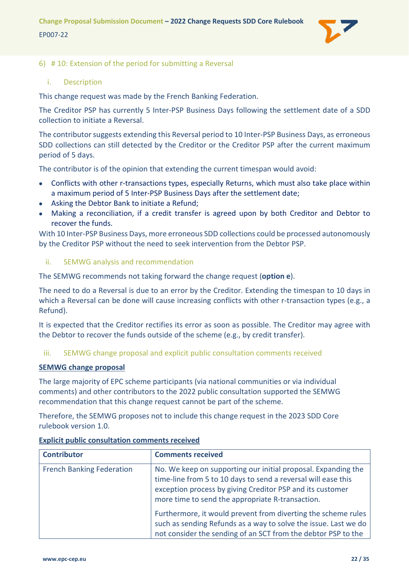

#### <span id="page-21-0"></span>6) # 10: Extension of the period for submitting a Reversal

#### <span id="page-21-1"></span>i. Description

This change request was made by the French Banking Federation.

The Creditor PSP has currently 5 Inter-PSP Business Days following the settlement date of a SDD collection to initiate a Reversal.

The contributor suggests extending this Reversal period to 10 Inter-PSP Business Days, as erroneous SDD collections can still detected by the Creditor or the Creditor PSP after the current maximum period of 5 days.

The contributor is of the opinion that extending the current timespan would avoid:

- Conflicts with other r-transactions types, especially Returns, which must also take place within a maximum period of 5 Inter-PSP Business Days after the settlement date;
- Asking the Debtor Bank to initiate a Refund;
- Making a reconciliation, if a credit transfer is agreed upon by both Creditor and Debtor to recover the funds.

With 10 Inter-PSP Business Days, more erroneous SDD collections could be processed autonomously by the Creditor PSP without the need to seek intervention from the Debtor PSP.

#### <span id="page-21-2"></span>ii. SEMWG analysis and recommendation

The SEMWG recommends not taking forward the change request (**option e**).

The need to do a Reversal is due to an error by the Creditor. Extending the timespan to 10 days in which a Reversal can be done will cause increasing conflicts with other r-transaction types (e.g., a Refund).

It is expected that the Creditor rectifies its error as soon as possible. The Creditor may agree with the Debtor to recover the funds outside of the scheme (e.g., by credit transfer).

#### <span id="page-21-3"></span>iii. SEMWG change proposal and explicit public consultation comments received

#### **SEMWG change proposal**

The large majority of EPC scheme participants (via national communities or via individual comments) and other contributors to the 2022 public consultation supported the SEMWG recommendation that this change request cannot be part of the scheme.

Therefore, the SEMWG proposes not to include this change request in the 2023 SDD Core rulebook version 1.0.

| <b>Contributor</b>               | <b>Comments received</b>                                                                                                                                                                                                                        |
|----------------------------------|-------------------------------------------------------------------------------------------------------------------------------------------------------------------------------------------------------------------------------------------------|
| <b>French Banking Federation</b> | No. We keep on supporting our initial proposal. Expanding the<br>time-line from 5 to 10 days to send a reversal will ease this<br>exception process by giving Creditor PSP and its customer<br>more time to send the appropriate R-transaction. |
|                                  | Furthermore, it would prevent from diverting the scheme rules<br>such as sending Refunds as a way to solve the issue. Last we do<br>not consider the sending of an SCT from the debtor PSP to the                                               |

#### **Explicit public consultation comments received**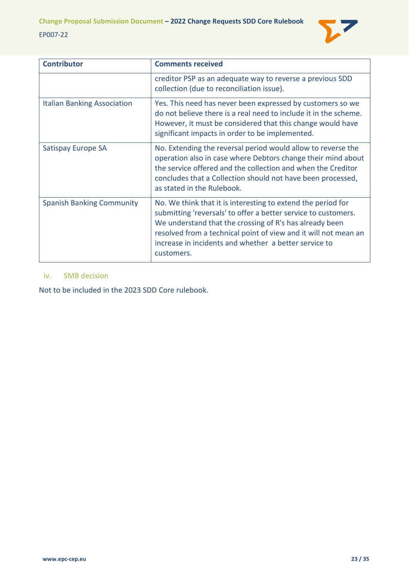

| <b>Contributor</b>                 | <b>Comments received</b>                                                                                                                                                                                                                                                                                                            |
|------------------------------------|-------------------------------------------------------------------------------------------------------------------------------------------------------------------------------------------------------------------------------------------------------------------------------------------------------------------------------------|
|                                    | creditor PSP as an adequate way to reverse a previous SDD<br>collection (due to reconciliation issue).                                                                                                                                                                                                                              |
| <b>Italian Banking Association</b> | Yes. This need has never been expressed by customers so we<br>do not believe there is a real need to include it in the scheme.<br>However, it must be considered that this change would have<br>significant impacts in order to be implemented.                                                                                     |
| Satispay Europe SA                 | No. Extending the reversal period would allow to reverse the<br>operation also in case where Debtors change their mind about<br>the service offered and the collection and when the Creditor<br>concludes that a Collection should not have been processed,<br>as stated in the Rulebook.                                           |
| <b>Spanish Banking Community</b>   | No. We think that it is interesting to extend the period for<br>submitting 'reversals' to offer a better service to customers.<br>We understand that the crossing of R's has already been<br>resolved from a technical point of view and it will not mean an<br>increase in incidents and whether a better service to<br>customers. |

#### <span id="page-22-0"></span>iv. SMB decision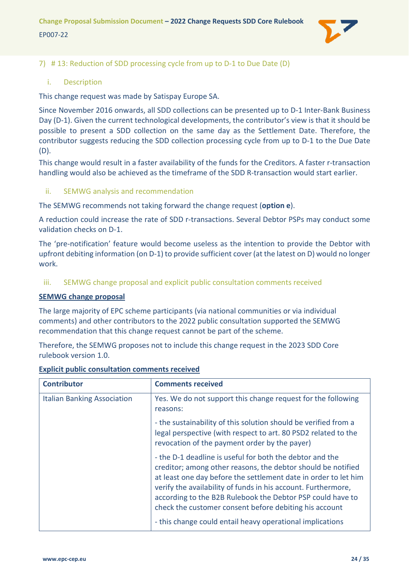

#### <span id="page-23-0"></span>7) # 13: Reduction of SDD processing cycle from up to D-1 to Due Date (D)

#### <span id="page-23-1"></span>i. Description

This change request was made by Satispay Europe SA.

Since November 2016 onwards, all SDD collections can be presented up to D-1 Inter-Bank Business Day (D-1). Given the current technological developments, the contributor's view is that it should be possible to present a SDD collection on the same day as the Settlement Date. Therefore, the contributor suggests reducing the SDD collection processing cycle from up to D-1 to the Due Date (D).

This change would result in a faster availability of the funds for the Creditors. A faster r-transaction handling would also be achieved as the timeframe of the SDD R-transaction would start earlier.

#### <span id="page-23-2"></span>ii. SEMWG analysis and recommendation

The SEMWG recommends not taking forward the change request (**option e**).

A reduction could increase the rate of SDD r-transactions. Several Debtor PSPs may conduct some validation checks on D-1.

The 'pre-notification' feature would become useless as the intention to provide the Debtor with upfront debiting information (on D-1) to provide sufficient cover (at the latest on D) would no longer work.

<span id="page-23-3"></span>iii. SEMWG change proposal and explicit public consultation comments received

#### **SEMWG change proposal**

The large majority of EPC scheme participants (via national communities or via individual comments) and other contributors to the 2022 public consultation supported the SEMWG recommendation that this change request cannot be part of the scheme.

Therefore, the SEMWG proposes not to include this change request in the 2023 SDD Core rulebook version 1.0.

| <b>Contributor</b>                 | <b>Comments received</b>                                                                                                                                                                                                                                                                                                                                                             |
|------------------------------------|--------------------------------------------------------------------------------------------------------------------------------------------------------------------------------------------------------------------------------------------------------------------------------------------------------------------------------------------------------------------------------------|
| <b>Italian Banking Association</b> | Yes. We do not support this change request for the following<br>reasons:                                                                                                                                                                                                                                                                                                             |
|                                    | - the sustainability of this solution should be verified from a<br>legal perspective (with respect to art. 80 PSD2 related to the<br>revocation of the payment order by the payer)                                                                                                                                                                                                   |
|                                    | - the D-1 deadline is useful for both the debtor and the<br>creditor; among other reasons, the debtor should be notified<br>at least one day before the settlement date in order to let him<br>verify the availability of funds in his account. Furthermore,<br>according to the B2B Rulebook the Debtor PSP could have to<br>check the customer consent before debiting his account |
|                                    | - this change could entail heavy operational implications                                                                                                                                                                                                                                                                                                                            |

#### **Explicit public consultation comments received**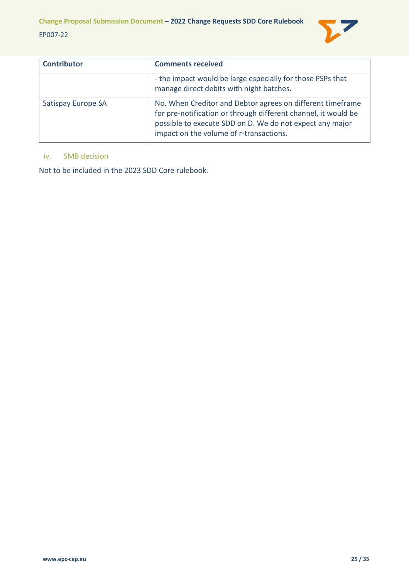

| <b>Contributor</b> | <b>Comments received</b>                                                                                                                                                                                                            |
|--------------------|-------------------------------------------------------------------------------------------------------------------------------------------------------------------------------------------------------------------------------------|
|                    | - the impact would be large especially for those PSPs that<br>manage direct debits with night batches.                                                                                                                              |
| Satispay Europe SA | No. When Creditor and Debtor agrees on different timeframe<br>for pre-notification or through different channel, it would be<br>possible to execute SDD on D. We do not expect any major<br>impact on the volume of r-transactions. |

# <span id="page-24-0"></span>iv. SMB decision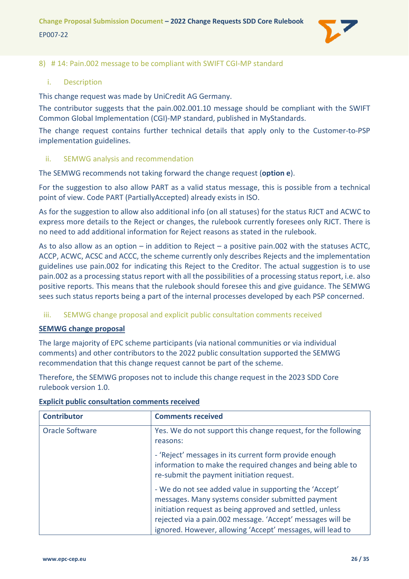

#### <span id="page-25-0"></span>8) # 14: Pain.002 message to be compliant with SWIFT CGI-MP standard

#### <span id="page-25-1"></span>i. Description

This change request was made by UniCredit AG Germany.

The contributor suggests that the pain.002.001.10 message should be compliant with the SWIFT Common Global Implementation (CGI)-MP standard, published in MyStandards.

The change request contains further technical details that apply only to the Customer-to-PSP implementation guidelines.

#### <span id="page-25-2"></span>ii. SEMWG analysis and recommendation

The SEMWG recommends not taking forward the change request (**option e**).

For the suggestion to also allow PART as a valid status message, this is possible from a technical point of view. Code PART (PartiallyAccepted) already exists in ISO.

As for the suggestion to allow also additional info (on all statuses) for the status RJCT and ACWC to express more details to the Reject or changes, the rulebook currently foresees only RJCT. There is no need to add additional information for Reject reasons as stated in the rulebook.

As to also allow as an option – in addition to Reject – a positive pain.002 with the statuses ACTC, ACCP, ACWC, ACSC and ACCC, the scheme currently only describes Rejects and the implementation guidelines use pain.002 for indicating this Reject to the Creditor. The actual suggestion is to use pain.002 as a processing status report with all the possibilities of a processing status report, i.e. also positive reports. This means that the rulebook should foresee this and give guidance. The SEMWG sees such status reports being a part of the internal processes developed by each PSP concerned.

#### <span id="page-25-3"></span>iii. SEMWG change proposal and explicit public consultation comments received

#### **SEMWG change proposal**

The large majority of EPC scheme participants (via national communities or via individual comments) and other contributors to the 2022 public consultation supported the SEMWG recommendation that this change request cannot be part of the scheme.

Therefore, the SEMWG proposes not to include this change request in the 2023 SDD Core rulebook version 1.0.

| <b>Contributor</b> | <b>Comments received</b>                                                                                                                                                                                                                                                                            |
|--------------------|-----------------------------------------------------------------------------------------------------------------------------------------------------------------------------------------------------------------------------------------------------------------------------------------------------|
| Oracle Software    | Yes. We do not support this change request, for the following<br>reasons:                                                                                                                                                                                                                           |
|                    | - 'Reject' messages in its current form provide enough<br>information to make the required changes and being able to<br>re-submit the payment initiation request.                                                                                                                                   |
|                    | - We do not see added value in supporting the 'Accept'<br>messages. Many systems consider submitted payment<br>initiation request as being approved and settled, unless<br>rejected via a pain.002 message. 'Accept' messages will be<br>ignored. However, allowing 'Accept' messages, will lead to |

## **Explicit public consultation comments received**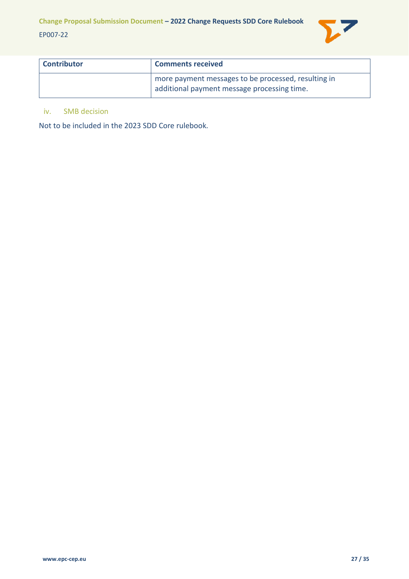

| <b>Contributor</b> | <b>Comments received</b>                                                                           |
|--------------------|----------------------------------------------------------------------------------------------------|
|                    | more payment messages to be processed, resulting in<br>additional payment message processing time. |

### <span id="page-26-0"></span>iv. SMB decision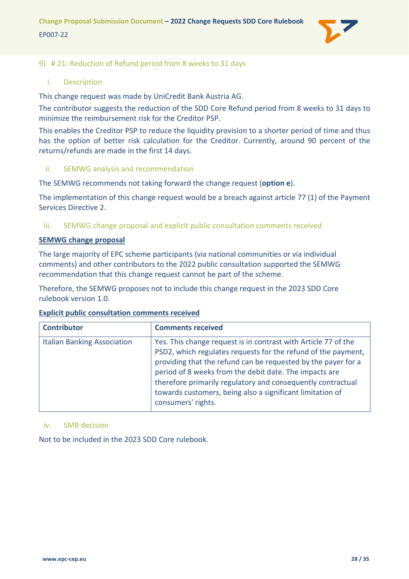

#### <span id="page-27-0"></span>9) # 21: Reduction of Refund period from 8 weeks to 31 days

#### <span id="page-27-1"></span>i. Description

This change request was made by UniCredit Bank Austria AG.

The contributor suggests the reduction of the SDD Core Refund period from 8 weeks to 31 days to minimize the reimbursement risk for the Creditor PSP.

This enables the Creditor PSP to reduce the liquidity provision to a shorter period of time and thus has the option of better risk calculation for the Creditor. Currently, around 90 percent of the returns/refunds are made in the first 14 days.

#### <span id="page-27-2"></span>ii. SEMWG analysis and recommendation

The SEMWG recommends not taking forward the change request (**option e**).

The implementation of this change request would be a breach against article 77 (1) of the Payment Services Directive 2.

#### <span id="page-27-3"></span>iii. SEMWG change proposal and explicit public consultation comments received

#### **SEMWG change proposal**

The large majority of EPC scheme participants (via national communities or via individual comments) and other contributors to the 2022 public consultation supported the SEMWG recommendation that this change request cannot be part of the scheme.

Therefore, the SEMWG proposes not to include this change request in the 2023 SDD Core rulebook version 1.0.

#### **Explicit public consultation comments received**

| <b>Contributor</b>                 | <b>Comments received</b>                                                                                                                                                                                                                                                                                                                                                                                     |
|------------------------------------|--------------------------------------------------------------------------------------------------------------------------------------------------------------------------------------------------------------------------------------------------------------------------------------------------------------------------------------------------------------------------------------------------------------|
| <b>Italian Banking Association</b> | Yes. This change request is in contrast with Article 77 of the<br>PSD2, which regulates requests for the refund of the payment,<br>providing that the refund can be requested by the payer for a<br>period of 8 weeks from the debit date. The impacts are<br>therefore primarily regulatory and consequently contractual<br>towards customers, being also a significant limitation of<br>consumers' rights. |

#### <span id="page-27-4"></span>iv. SMB decision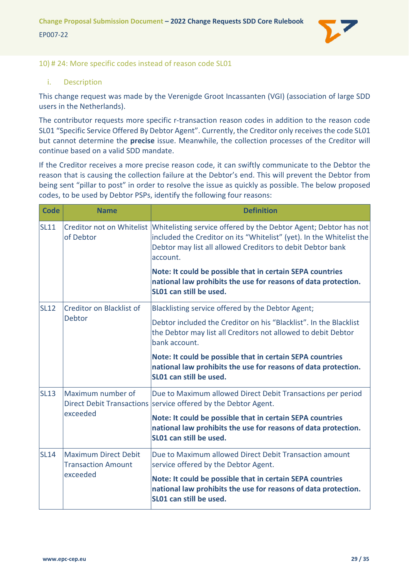

#### <span id="page-28-0"></span>10) # 24: More specific codes instead of reason code SL01

#### <span id="page-28-1"></span>i. Description

This change request was made by the Verenigde Groot Incassanten (VGI) (association of large SDD users in the Netherlands).

The contributor requests more specific r-transaction reason codes in addition to the reason code SL01 "Specific Service Offered By Debtor Agent". Currently, the Creditor only receives the code SL01 but cannot determine the **precise** issue. Meanwhile, the collection processes of the Creditor will continue based on a valid SDD mandate.

If the Creditor receives a more precise reason code, it can swiftly communicate to the Debtor the reason that is causing the collection failure at the Debtor's end. This will prevent the Debtor from being sent "pillar to post" in order to resolve the issue as quickly as possible. The below proposed codes, to be used by Debtor PSPs, identify the following four reasons:

| <b>Code</b>                                                                         | <b>Name</b>                                                                                                                                                                                                                                  | <b>Definition</b>                                                                                                                                      |
|-------------------------------------------------------------------------------------|----------------------------------------------------------------------------------------------------------------------------------------------------------------------------------------------------------------------------------------------|--------------------------------------------------------------------------------------------------------------------------------------------------------|
| <b>SL11</b><br>of Debtor                                                            | Creditor not on Whitelist Whitelisting service offered by the Debtor Agent; Debtor has not<br>included the Creditor on its "Whitelist" (yet). In the Whitelist the<br>Debtor may list all allowed Creditors to debit Debtor bank<br>account. |                                                                                                                                                        |
|                                                                                     |                                                                                                                                                                                                                                              | Note: It could be possible that in certain SEPA countries<br>national law prohibits the use for reasons of data protection.<br>SL01 can still be used. |
| <b>SL12</b>                                                                         | Creditor on Blacklist of                                                                                                                                                                                                                     | Blacklisting service offered by the Debtor Agent;                                                                                                      |
| Debtor                                                                              |                                                                                                                                                                                                                                              | Debtor included the Creditor on his "Blacklist". In the Blacklist<br>the Debtor may list all Creditors not allowed to debit Debtor<br>bank account.    |
|                                                                                     | Note: It could be possible that in certain SEPA countries<br>national law prohibits the use for reasons of data protection.<br>SL01 can still be used.                                                                                       |                                                                                                                                                        |
| Maximum number of<br><b>SL13</b><br>exceeded                                        | <b>Direct Debit Transactions</b>                                                                                                                                                                                                             | Due to Maximum allowed Direct Debit Transactions per period<br>service offered by the Debtor Agent.                                                    |
|                                                                                     |                                                                                                                                                                                                                                              | Note: It could be possible that in certain SEPA countries<br>national law prohibits the use for reasons of data protection.<br>SL01 can still be used. |
| <b>Maximum Direct Debit</b><br><b>SL14</b><br><b>Transaction Amount</b><br>exceeded |                                                                                                                                                                                                                                              | Due to Maximum allowed Direct Debit Transaction amount<br>service offered by the Debtor Agent.                                                         |
|                                                                                     | Note: It could be possible that in certain SEPA countries<br>national law prohibits the use for reasons of data protection.<br>SL01 can still be used.                                                                                       |                                                                                                                                                        |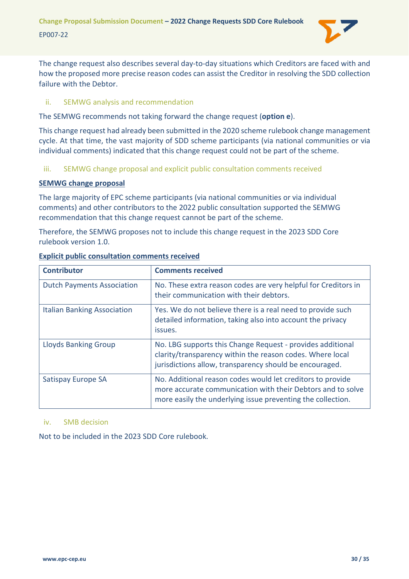

The change request also describes several day-to-day situations which Creditors are faced with and how the proposed more precise reason codes can assist the Creditor in resolving the SDD collection failure with the Debtor.

#### <span id="page-29-0"></span>ii. SEMWG analysis and recommendation

The SEMWG recommends not taking forward the change request (**option e**).

This change request had already been submitted in the 2020 scheme rulebook change management cycle. At that time, the vast majority of SDD scheme participants (via national communities or via individual comments) indicated that this change request could not be part of the scheme.

#### <span id="page-29-1"></span>iii. SEMWG change proposal and explicit public consultation comments received

#### **SEMWG change proposal**

The large majority of EPC scheme participants (via national communities or via individual comments) and other contributors to the 2022 public consultation supported the SEMWG recommendation that this change request cannot be part of the scheme.

Therefore, the SEMWG proposes not to include this change request in the 2023 SDD Core rulebook version 1.0.

| <b>Contributor</b>                 | <b>Comments received</b>                                                                                                                                                                 |
|------------------------------------|------------------------------------------------------------------------------------------------------------------------------------------------------------------------------------------|
| <b>Dutch Payments Association</b>  | No. These extra reason codes are very helpful for Creditors in<br>their communication with their debtors.                                                                                |
| <b>Italian Banking Association</b> | Yes. We do not believe there is a real need to provide such<br>detailed information, taking also into account the privacy<br>issues.                                                     |
| <b>Lloyds Banking Group</b>        | No. LBG supports this Change Request - provides additional<br>clarity/transparency within the reason codes. Where local<br>jurisdictions allow, transparency should be encouraged.       |
| Satispay Europe SA                 | No. Additional reason codes would let creditors to provide<br>more accurate communication with their Debtors and to solve<br>more easily the underlying issue preventing the collection. |

#### **Explicit public consultation comments received**

#### <span id="page-29-2"></span>iv. SMB decision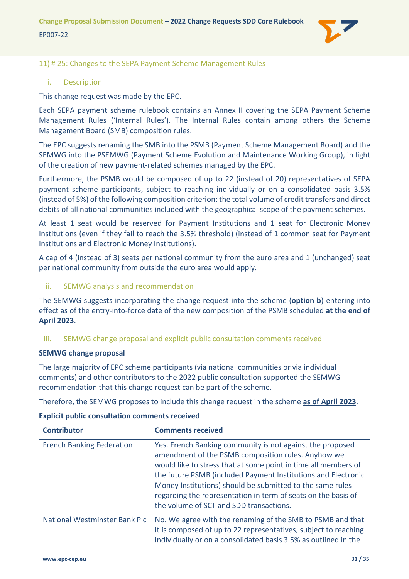

#### <span id="page-30-0"></span>11) # 25: Changes to the SEPA Payment Scheme Management Rules

#### <span id="page-30-1"></span>i. Description

This change request was made by the EPC.

Each SEPA payment scheme rulebook contains an Annex II covering the SEPA Payment Scheme Management Rules ('Internal Rules'). The Internal Rules contain among others the Scheme Management Board (SMB) composition rules.

The EPC suggests renaming the SMB into the PSMB (Payment Scheme Management Board) and the SEMWG into the PSEMWG (Payment Scheme Evolution and Maintenance Working Group), in light of the creation of new payment-related schemes managed by the EPC.

Furthermore, the PSMB would be composed of up to 22 (instead of 20) representatives of SEPA payment scheme participants, subject to reaching individually or on a consolidated basis 3.5% (instead of 5%) of the following composition criterion: the total volume of credit transfers and direct debits of all national communities included with the geographical scope of the payment schemes.

At least 1 seat would be reserved for Payment Institutions and 1 seat for Electronic Money Institutions (even if they fail to reach the 3.5% threshold) (instead of 1 common seat for Payment Institutions and Electronic Money Institutions).

A cap of 4 (instead of 3) seats per national community from the euro area and 1 (unchanged) seat per national community from outside the euro area would apply.

#### <span id="page-30-2"></span>ii. SEMWG analysis and recommendation

The SEMWG suggests incorporating the change request into the scheme (**option b**) entering into effect as of the entry-into-force date of the new composition of the PSMB scheduled **at the end of April 2023**.

#### <span id="page-30-3"></span>iii. SEMWG change proposal and explicit public consultation comments received

#### **SEMWG change proposal**

The large majority of EPC scheme participants (via national communities or via individual comments) and other contributors to the 2022 public consultation supported the SEMWG recommendation that this change request can be part of the scheme.

Therefore, the SEMWG proposes to include this change request in the scheme **as of April 2023**.

| <b>Contributor</b>               | <b>Comments received</b>                                                                                                                                                                                                                                                                                                                                                                                                    |
|----------------------------------|-----------------------------------------------------------------------------------------------------------------------------------------------------------------------------------------------------------------------------------------------------------------------------------------------------------------------------------------------------------------------------------------------------------------------------|
| <b>French Banking Federation</b> | Yes. French Banking community is not against the proposed<br>amendment of the PSMB composition rules. Anyhow we<br>would like to stress that at some point in time all members of<br>the future PSMB (included Payment Institutions and Electronic<br>Money Institutions) should be submitted to the same rules<br>regarding the representation in term of seats on the basis of<br>the volume of SCT and SDD transactions. |
| National Westminster Bank Plc    | No. We agree with the renaming of the SMB to PSMB and that<br>it is composed of up to 22 representatives, subject to reaching<br>individually or on a consolidated basis 3.5% as outlined in the                                                                                                                                                                                                                            |

#### **Explicit public consultation comments received**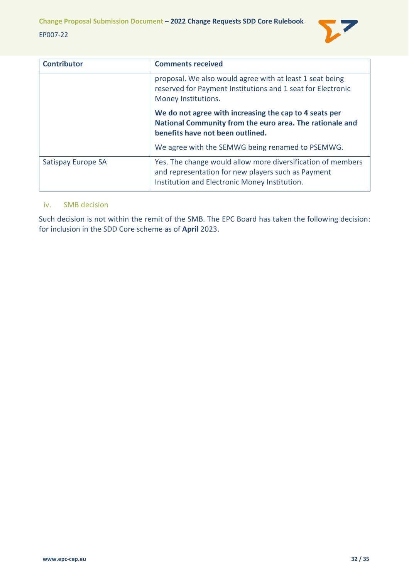

| <b>Contributor</b> | <b>Comments received</b>                                                                                                                                           |
|--------------------|--------------------------------------------------------------------------------------------------------------------------------------------------------------------|
|                    | proposal. We also would agree with at least 1 seat being<br>reserved for Payment Institutions and 1 seat for Electronic<br>Money Institutions.                     |
|                    | We do not agree with increasing the cap to 4 seats per<br>National Community from the euro area. The rationale and<br>benefits have not been outlined.             |
|                    | We agree with the SEMWG being renamed to PSEMWG.                                                                                                                   |
| Satispay Europe SA | Yes. The change would allow more diversification of members<br>and representation for new players such as Payment<br>Institution and Electronic Money Institution. |

#### <span id="page-31-0"></span>iv. SMB decision

Such decision is not within the remit of the SMB. The EPC Board has taken the following decision: for inclusion in the SDD Core scheme as of **April** 2023.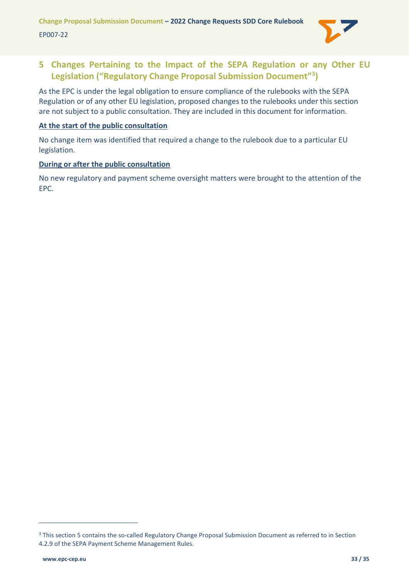

# <span id="page-32-0"></span>**5 Changes Pertaining to the Impact of the SEPA Regulation or any Other EU Legislation ("Regulatory Change Proposal Submission Document"[3](#page-32-1) )**

As the EPC is under the legal obligation to ensure compliance of the rulebooks with the SEPA Regulation or of any other EU legislation, proposed changes to the rulebooks under this section are not subject to a public consultation. They are included in this document for information.

#### **At the start of the public consultation**

No change item was identified that required a change to the rulebook due to a particular EU legislation.

#### **During or after the public consultation**

No new regulatory and payment scheme oversight matters were brought to the attention of the EPC.

<span id="page-32-1"></span><sup>&</sup>lt;sup>3</sup> This section 5 contains the so-called Regulatory Change Proposal Submission Document as referred to in Section 4.2.9 of the SEPA Payment Scheme Management Rules.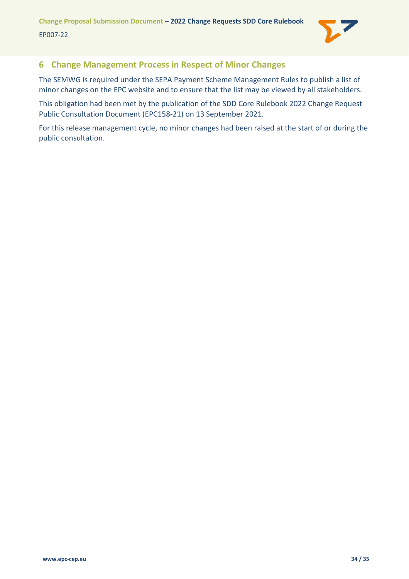

# <span id="page-33-0"></span>**6 Change Management Process in Respect of Minor Changes**

The SEMWG is required under the SEPA Payment Scheme Management Rules to publish a list of minor changes on the EPC website and to ensure that the list may be viewed by all stakeholders.

This obligation had been met by the publication of the SDD Core Rulebook 2022 Change Request Public Consultation Document (EPC158-21) on 13 September 2021.

For this release management cycle, no minor changes had been raised at the start of or during the public consultation.